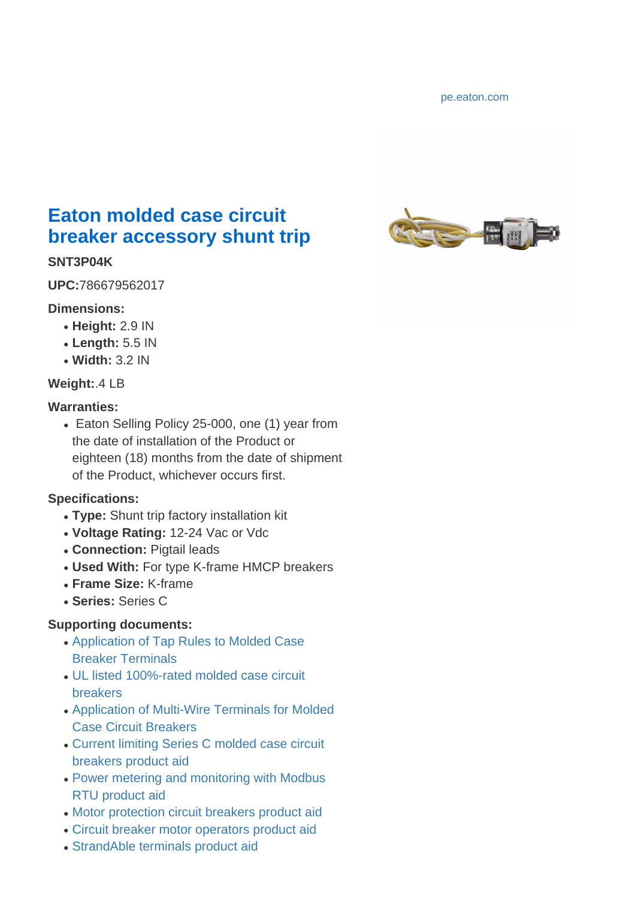<pe.eaton.com>



# **Eaton molded case circuit breaker accessory shunt trip**

### **SNT3P04K**

**UPC:**786679562017

### **Dimensions:**

- **Height:** 2.9 IN
- **Length:** 5.5 IN
- **Width:** 3.2 IN

## **Weight:**.4 LB

### **Warranties:**

• Eaton Selling Policy 25-000, one (1) year from the date of installation of the Product or eighteen (18) months from the date of shipment of the Product, whichever occurs first.

## **Specifications:**

- Type: Shunt trip factory installation kit
- **Voltage Rating:** 12-24 Vac or Vdc
- **Connection:** Pigtail leads
- Used With: For type K-frame HMCP breakers
- **Frame Size:** K-frame
- **Series:** Series C

## **Supporting documents:**

- [Application of Tap Rules to Molded Case](http://www.eaton.com/content/dam/eaton/products/electrical-circuit-protection/molded-case-circuit-breakers/tap-rules-mccb-terminals-ap01200007e.pdf) [Breaker Terminals](http://www.eaton.com/content/dam/eaton/products/electrical-circuit-protection/molded-case-circuit-breakers/tap-rules-mccb-terminals-ap01200007e.pdf)
- [UL listed 100%-rated molded case circuit](http://www.eaton.com/content/dam/eaton/products/electrical-circuit-protection/molded-case-circuit-breakers/series-c-molded-case-circuit-breakers/ul-listed-100-rated-mccb-ap01200008e.pdf) [breakers](http://www.eaton.com/content/dam/eaton/products/electrical-circuit-protection/molded-case-circuit-breakers/series-c-molded-case-circuit-breakers/ul-listed-100-rated-mccb-ap01200008e.pdf)
- [Application of Multi-Wire Terminals for Molded](http://www.eaton.com/content/dam/eaton/products/electrical-circuit-protection/molded-case-circuit-breakers/multi-wire-terminals-application-mccb-ap01200004e.pdf) [Case Circuit Breakers](http://www.eaton.com/content/dam/eaton/products/electrical-circuit-protection/molded-case-circuit-breakers/multi-wire-terminals-application-mccb-ap01200004e.pdf)
- [Current limiting Series C molded case circuit](http://www.eaton.com/content/dam/eaton/products/electrical-circuit-protection/molded-case-circuit-breakers/series-c-molded-case-circuit-breakers/mccb-series-c-fd-cl-pa01213003e.PDF) [breakers product aid](http://www.eaton.com/content/dam/eaton/products/electrical-circuit-protection/molded-case-circuit-breakers/series-c-molded-case-circuit-breakers/mccb-series-c-fd-cl-pa01213003e.PDF)
- [Power metering and monitoring with Modbus](http://www.eaton.com/content/dam/eaton/products/electrical-circuit-protection/molded-case-circuit-breakers/modbus-power-metering-monitoring-pa0122200e3.pdf) [RTU product aid](http://www.eaton.com/content/dam/eaton/products/electrical-circuit-protection/molded-case-circuit-breakers/modbus-power-metering-monitoring-pa0122200e3.pdf)
- [Motor protection circuit breakers product aid](http://www.eaton.com/content/dam/eaton/products/electrical-circuit-protection/molded-case-circuit-breakers/motor-protection-circuit-breakers-pa01211001e.pdf)
- [Circuit breaker motor operators product aid](http://www.eaton.com/content/dam/eaton/products/electrical-circuit-protection/molded-case-circuit-breakers/series-c-molded-case-circuit-breakers/circuit-breaker-motor-operators-pa01222002e.pdf)
- [StrandAble terminals product aid](http://www.eaton.com/content/dam/eaton/products/electrical-circuit-protection/molded-case-circuit-breakers/strandable-terminals-pa012021en.pdf)